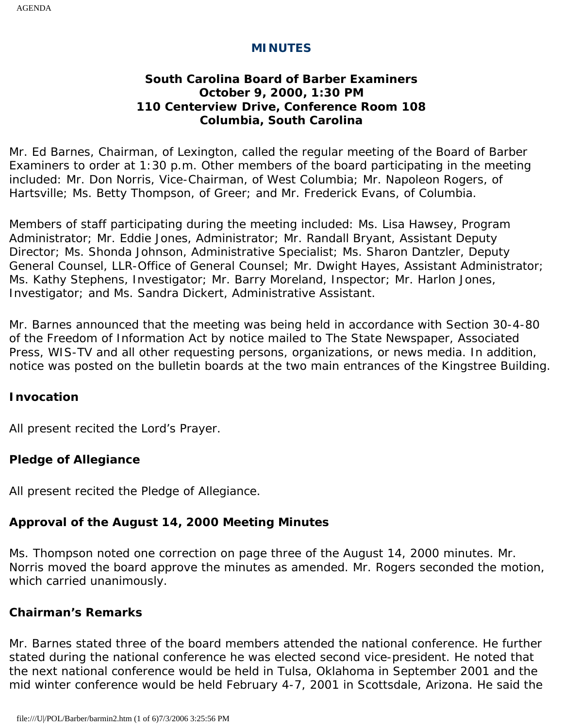#### **MINUTES**

#### **South Carolina Board of Barber Examiners October 9, 2000, 1:30 PM 110 Centerview Drive, Conference Room 108 Columbia, South Carolina**

Mr. Ed Barnes, Chairman, of Lexington, called the regular meeting of the Board of Barber Examiners to order at 1:30 p.m. Other members of the board participating in the meeting included: Mr. Don Norris, Vice-Chairman, of West Columbia; Mr. Napoleon Rogers, of Hartsville; Ms. Betty Thompson, of Greer; and Mr. Frederick Evans, of Columbia.

Members of staff participating during the meeting included: Ms. Lisa Hawsey, Program Administrator; Mr. Eddie Jones, Administrator; Mr. Randall Bryant, Assistant Deputy Director; Ms. Shonda Johnson, Administrative Specialist; Ms. Sharon Dantzler, Deputy General Counsel, LLR-Office of General Counsel; Mr. Dwight Hayes, Assistant Administrator; Ms. Kathy Stephens, Investigator; Mr. Barry Moreland, Inspector; Mr. Harlon Jones, Investigator; and Ms. Sandra Dickert, Administrative Assistant.

Mr. Barnes announced that the meeting was being held in accordance with Section 30-4-80 of the Freedom of Information Act by notice mailed to The State Newspaper, Associated Press, WIS-TV and all other requesting persons, organizations, or news media. In addition, notice was posted on the bulletin boards at the two main entrances of the Kingstree Building.

#### **Invocation**

All present recited the Lord's Prayer.

#### **Pledge of Allegiance**

All present recited the Pledge of Allegiance.

# **Approval of the August 14, 2000 Meeting Minutes**

Ms. Thompson noted one correction on page three of the August 14, 2000 minutes. Mr. Norris moved the board approve the minutes as amended. Mr. Rogers seconded the motion, which carried unanimously.

## **Chairman's Remarks**

Mr. Barnes stated three of the board members attended the national conference. He further stated during the national conference he was elected second vice-president. He noted that the next national conference would be held in Tulsa, Oklahoma in September 2001 and the mid winter conference would be held February 4-7, 2001 in Scottsdale, Arizona. He said the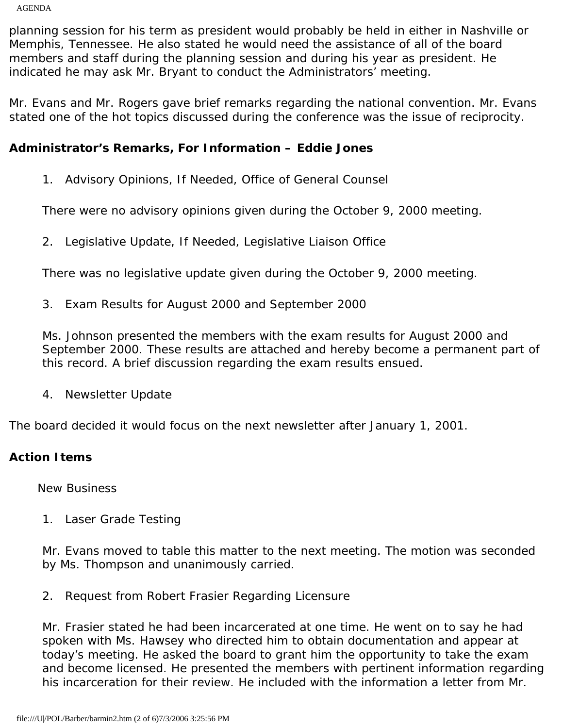AGENDA

planning session for his term as president would probably be held in either in Nashville or Memphis, Tennessee. He also stated he would need the assistance of all of the board members and staff during the planning session and during his year as president. He indicated he may ask Mr. Bryant to conduct the Administrators' meeting.

Mr. Evans and Mr. Rogers gave brief remarks regarding the national convention. Mr. Evans stated one of the hot topics discussed during the conference was the issue of reciprocity.

### **Administrator's Remarks, For Information – Eddie Jones**

1. Advisory Opinions, If Needed, Office of General Counsel

There were no advisory opinions given during the October 9, 2000 meeting.

2. Legislative Update, If Needed, Legislative Liaison Office

There was no legislative update given during the October 9, 2000 meeting.

3. Exam Results for August 2000 and September 2000

Ms. Johnson presented the members with the exam results for August 2000 and September 2000. These results are attached and hereby become a permanent part of this record. A brief discussion regarding the exam results ensued.

4. Newsletter Update

The board decided it would focus on the next newsletter after January 1, 2001.

### **Action Items**

New Business

1. Laser Grade Testing

Mr. Evans moved to table this matter to the next meeting. The motion was seconded by Ms. Thompson and unanimously carried.

2. Request from Robert Frasier Regarding Licensure

Mr. Frasier stated he had been incarcerated at one time. He went on to say he had spoken with Ms. Hawsey who directed him to obtain documentation and appear at today's meeting. He asked the board to grant him the opportunity to take the exam and become licensed. He presented the members with pertinent information regarding his incarceration for their review. He included with the information a letter from Mr.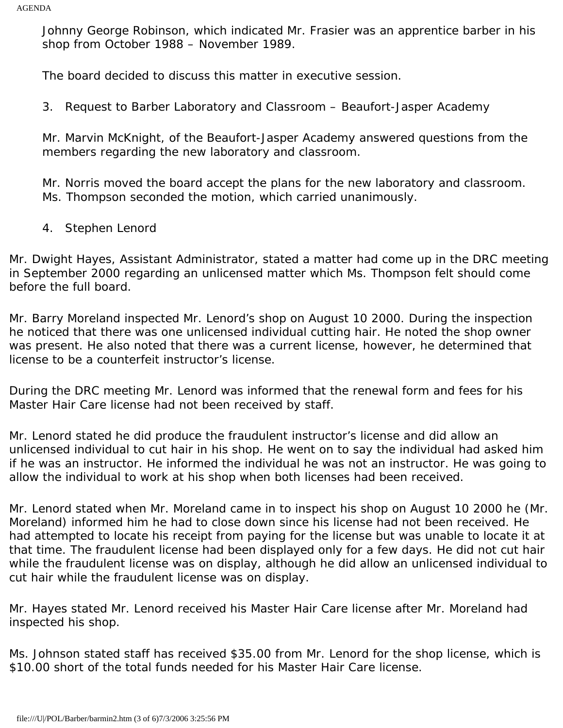Johnny George Robinson, which indicated Mr. Frasier was an apprentice barber in his shop from October 1988 – November 1989.

The board decided to discuss this matter in executive session.

3. Request to Barber Laboratory and Classroom – Beaufort-Jasper Academy

Mr. Marvin McKnight, of the Beaufort-Jasper Academy answered questions from the members regarding the new laboratory and classroom.

Mr. Norris moved the board accept the plans for the new laboratory and classroom. Ms. Thompson seconded the motion, which carried unanimously.

4. Stephen Lenord

Mr. Dwight Hayes, Assistant Administrator, stated a matter had come up in the DRC meeting in September 2000 regarding an unlicensed matter which Ms. Thompson felt should come before the full board.

Mr. Barry Moreland inspected Mr. Lenord's shop on August 10 2000. During the inspection he noticed that there was one unlicensed individual cutting hair. He noted the shop owner was present. He also noted that there was a current license, however, he determined that license to be a counterfeit instructor's license.

During the DRC meeting Mr. Lenord was informed that the renewal form and fees for his Master Hair Care license had not been received by staff.

Mr. Lenord stated he did produce the fraudulent instructor's license and did allow an unlicensed individual to cut hair in his shop. He went on to say the individual had asked him if he was an instructor. He informed the individual he was not an instructor. He was going to allow the individual to work at his shop when both licenses had been received.

Mr. Lenord stated when Mr. Moreland came in to inspect his shop on August 10 2000 he (Mr. Moreland) informed him he had to close down since his license had not been received. He had attempted to locate his receipt from paying for the license but was unable to locate it at that time. The fraudulent license had been displayed only for a few days. He did not cut hair while the fraudulent license was on display, although he did allow an unlicensed individual to cut hair while the fraudulent license was on display.

Mr. Hayes stated Mr. Lenord received his Master Hair Care license after Mr. Moreland had inspected his shop.

Ms. Johnson stated staff has received \$35.00 from Mr. Lenord for the shop license, which is \$10.00 short of the total funds needed for his Master Hair Care license.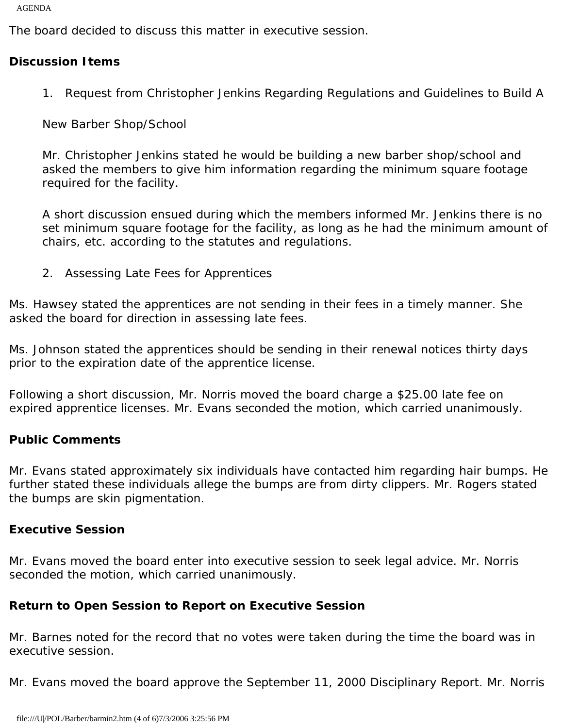AGENDA

The board decided to discuss this matter in executive session.

## **Discussion Items**

1. Request from Christopher Jenkins Regarding Regulations and Guidelines to Build A

New Barber Shop/School

Mr. Christopher Jenkins stated he would be building a new barber shop/school and asked the members to give him information regarding the minimum square footage required for the facility.

A short discussion ensued during which the members informed Mr. Jenkins there is no set minimum square footage for the facility, as long as he had the minimum amount of chairs, etc. according to the statutes and regulations.

2. Assessing Late Fees for Apprentices

Ms. Hawsey stated the apprentices are not sending in their fees in a timely manner. She asked the board for direction in assessing late fees.

Ms. Johnson stated the apprentices should be sending in their renewal notices thirty days prior to the expiration date of the apprentice license.

Following a short discussion, Mr. Norris moved the board charge a \$25.00 late fee on expired apprentice licenses. Mr. Evans seconded the motion, which carried unanimously.

### **Public Comments**

Mr. Evans stated approximately six individuals have contacted him regarding hair bumps. He further stated these individuals allege the bumps are from dirty clippers. Mr. Rogers stated the bumps are skin pigmentation.

### **Executive Session**

Mr. Evans moved the board enter into executive session to seek legal advice. Mr. Norris seconded the motion, which carried unanimously.

## **Return to Open Session to Report on Executive Session**

Mr. Barnes noted for the record that no votes were taken during the time the board was in executive session.

Mr. Evans moved the board approve the September 11, 2000 Disciplinary Report. Mr. Norris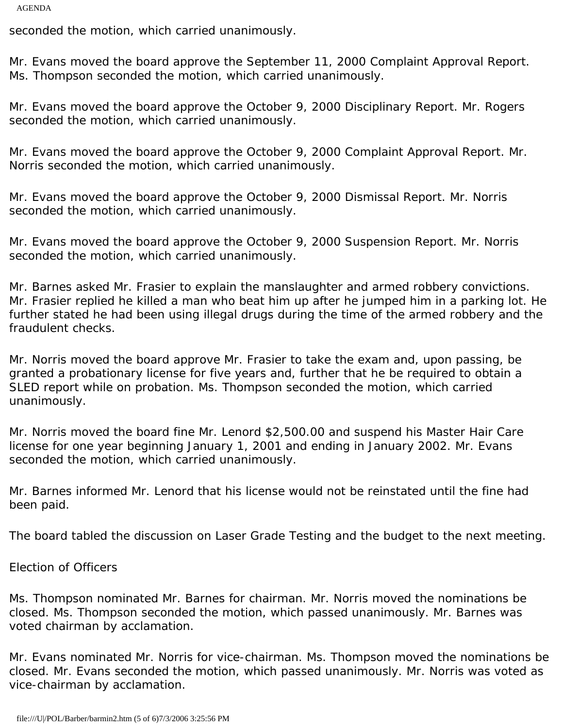AGENDA

seconded the motion, which carried unanimously.

Mr. Evans moved the board approve the September 11, 2000 Complaint Approval Report. Ms. Thompson seconded the motion, which carried unanimously.

Mr. Evans moved the board approve the October 9, 2000 Disciplinary Report. Mr. Rogers seconded the motion, which carried unanimously.

Mr. Evans moved the board approve the October 9, 2000 Complaint Approval Report. Mr. Norris seconded the motion, which carried unanimously.

Mr. Evans moved the board approve the October 9, 2000 Dismissal Report. Mr. Norris seconded the motion, which carried unanimously.

Mr. Evans moved the board approve the October 9, 2000 Suspension Report. Mr. Norris seconded the motion, which carried unanimously.

Mr. Barnes asked Mr. Frasier to explain the manslaughter and armed robbery convictions. Mr. Frasier replied he killed a man who beat him up after he jumped him in a parking lot. He further stated he had been using illegal drugs during the time of the armed robbery and the fraudulent checks.

Mr. Norris moved the board approve Mr. Frasier to take the exam and, upon passing, be granted a probationary license for five years and, further that he be required to obtain a SLED report while on probation. Ms. Thompson seconded the motion, which carried unanimously.

Mr. Norris moved the board fine Mr. Lenord \$2,500.00 and suspend his Master Hair Care license for one year beginning January 1, 2001 and ending in January 2002. Mr. Evans seconded the motion, which carried unanimously.

Mr. Barnes informed Mr. Lenord that his license would not be reinstated until the fine had been paid.

The board tabled the discussion on Laser Grade Testing and the budget to the next meeting.

Election of Officers

Ms. Thompson nominated Mr. Barnes for chairman. Mr. Norris moved the nominations be closed. Ms. Thompson seconded the motion, which passed unanimously. Mr. Barnes was voted chairman by acclamation.

Mr. Evans nominated Mr. Norris for vice-chairman. Ms. Thompson moved the nominations be closed. Mr. Evans seconded the motion, which passed unanimously. Mr. Norris was voted as vice-chairman by acclamation.